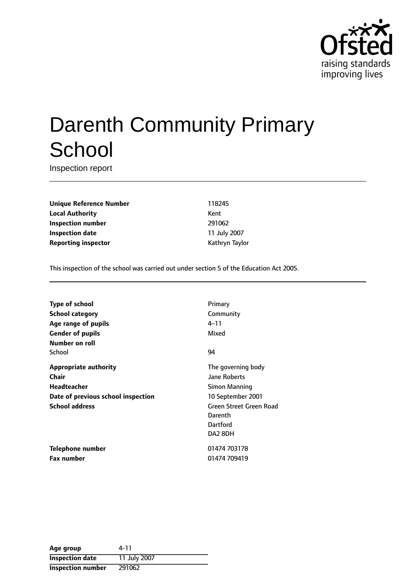

# Darenth Community Primary **School**

Inspection report

**Unique Reference Number** 118245 **Local Authority** Kent **Inspection number** 291062 **Inspection date** 11 July 2007 **Reporting inspector CONFIDENTIAL REPORTING KATHRYING TAYLOR** 

This inspection of the school was carried out under section 5 of the Education Act 2005.

| Primary                 |
|-------------------------|
| Community               |
| 4–11                    |
| Mixed                   |
|                         |
| 94                      |
| The governing body      |
| <b>Jane Roberts</b>     |
| <b>Simon Manning</b>    |
| 10 September 2001       |
| Green Street Green Road |
| Darenth                 |
| Dartford                |
| DA2 8DH                 |
| 01474 703178            |
| 01474 709419            |
|                         |

| Age group                | 4-11         |
|--------------------------|--------------|
| <b>Inspection date</b>   | 11 July 2007 |
| <b>Inspection number</b> | 291062       |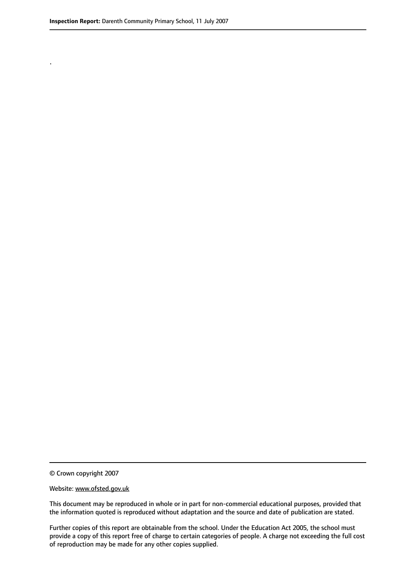.

© Crown copyright 2007

#### Website: www.ofsted.gov.uk

This document may be reproduced in whole or in part for non-commercial educational purposes, provided that the information quoted is reproduced without adaptation and the source and date of publication are stated.

Further copies of this report are obtainable from the school. Under the Education Act 2005, the school must provide a copy of this report free of charge to certain categories of people. A charge not exceeding the full cost of reproduction may be made for any other copies supplied.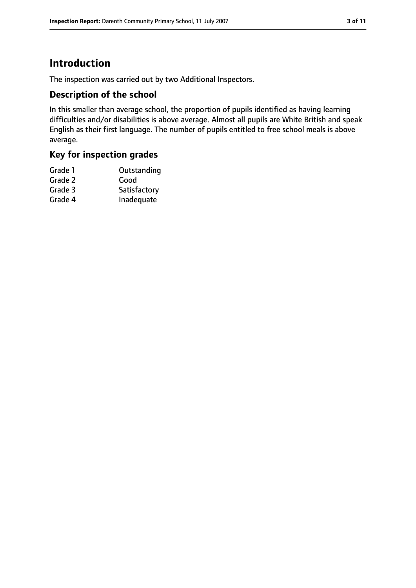# **Introduction**

The inspection was carried out by two Additional Inspectors.

## **Description of the school**

In this smaller than average school, the proportion of pupils identified as having learning difficulties and/or disabilities is above average. Almost all pupils are White British and speak English as their first language. The number of pupils entitled to free school meals is above average.

# **Key for inspection grades**

| Grade 1 | Outstanding  |
|---------|--------------|
| Grade 2 | Good         |
| Grade 3 | Satisfactory |
| Grade 4 | Inadequate   |
|         |              |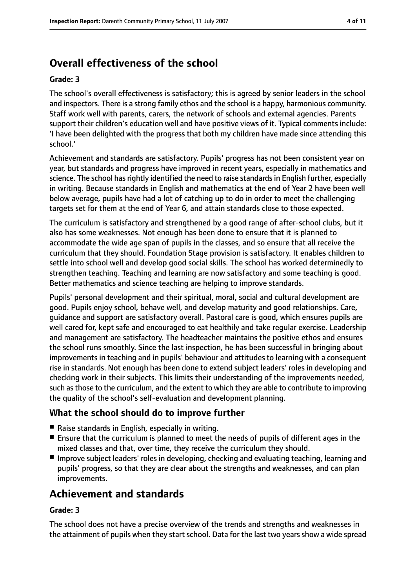# **Overall effectiveness of the school**

#### **Grade: 3**

The school's overall effectiveness is satisfactory; this is agreed by senior leaders in the school and inspectors. There is a strong family ethos and the school is a happy, harmonious community. Staff work well with parents, carers, the network of schools and external agencies. Parents support their children's education well and have positive views of it. Typical comments include: 'I have been delighted with the progress that both my children have made since attending this school.'

Achievement and standards are satisfactory. Pupils' progress has not been consistent year on year, but standards and progress have improved in recent years, especially in mathematics and science. The school has rightly identified the need to raise standards in English further, especially in writing. Because standards in English and mathematics at the end of Year 2 have been well below average, pupils have had a lot of catching up to do in order to meet the challenging targets set for them at the end of Year 6, and attain standards close to those expected.

The curriculum is satisfactory and strengthened by a good range of after-school clubs, but it also has some weaknesses. Not enough has been done to ensure that it is planned to accommodate the wide age span of pupils in the classes, and so ensure that all receive the curriculum that they should. Foundation Stage provision is satisfactory. It enables children to settle into school well and develop good social skills. The school has worked determinedly to strengthen teaching. Teaching and learning are now satisfactory and some teaching is good. Better mathematics and science teaching are helping to improve standards.

Pupils' personal development and their spiritual, moral, social and cultural development are good. Pupils enjoy school, behave well, and develop maturity and good relationships. Care, guidance and support are satisfactory overall. Pastoral care is good, which ensures pupils are well cared for, kept safe and encouraged to eat healthily and take regular exercise. Leadership and management are satisfactory. The headteacher maintains the positive ethos and ensures the school runs smoothly. Since the last inspection, he has been successful in bringing about improvements in teaching and in pupils' behaviour and attitudes to learning with a consequent rise in standards. Not enough has been done to extend subject leaders' roles in developing and checking work in their subjects. This limits their understanding of the improvements needed, such asthose to the curriculum, and the extent to which they are able to contribute to improving the quality of the school's self-evaluation and development planning.

## **What the school should do to improve further**

- Raise standards in English, especially in writing.
- Ensure that the curriculum is planned to meet the needs of pupils of different ages in the mixed classes and that, over time, they receive the curriculum they should.
- Improve subject leaders' roles in developing, checking and evaluating teaching, learning and pupils' progress, so that they are clear about the strengths and weaknesses, and can plan improvements.

# **Achievement and standards**

#### **Grade: 3**

The school does not have a precise overview of the trends and strengths and weaknesses in the attainment of pupils when they start school. Data for the last two years show a wide spread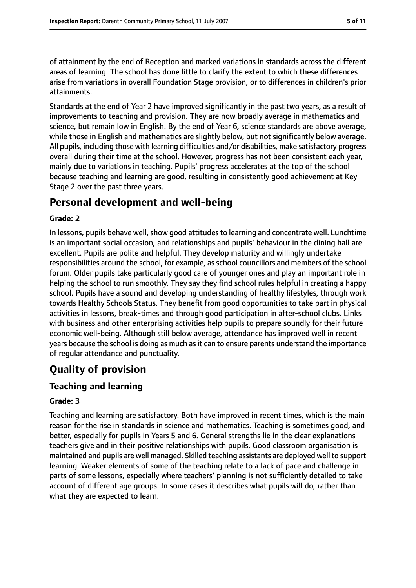of attainment by the end of Reception and marked variations in standards across the different areas of learning. The school has done little to clarify the extent to which these differences arise from variations in overall Foundation Stage provision, or to differences in children's prior attainments.

Standards at the end of Year 2 have improved significantly in the past two years, as a result of improvements to teaching and provision. They are now broadly average in mathematics and science, but remain low in English. By the end of Year 6, science standards are above average, while those in English and mathematics are slightly below, but not significantly below average. All pupils, including those with learning difficulties and/or disabilities, make satisfactory progress overall during their time at the school. However, progress has not been consistent each year, mainly due to variations in teaching. Pupils' progress accelerates at the top of the school because teaching and learning are good, resulting in consistently good achievement at Key Stage 2 over the past three years.

# **Personal development and well-being**

#### **Grade: 2**

In lessons, pupils behave well, show good attitudes to learning and concentrate well. Lunchtime is an important social occasion, and relationships and pupils' behaviour in the dining hall are excellent. Pupils are polite and helpful. They develop maturity and willingly undertake responsibilities around the school, for example, as school councillors and members of the school forum. Older pupils take particularly good care of younger ones and play an important role in helping the school to run smoothly. They say they find school rules helpful in creating a happy school. Pupils have a sound and developing understanding of healthy lifestyles, through work towards Healthy Schools Status. They benefit from good opportunities to take part in physical activities in lessons, break-times and through good participation in after-school clubs. Links with business and other enterprising activities help pupils to prepare soundly for their future economic well-being. Although still below average, attendance has improved well in recent years because the school is doing as much as it can to ensure parents understand the importance of regular attendance and punctuality.

# **Quality of provision**

#### **Teaching and learning**

#### **Grade: 3**

Teaching and learning are satisfactory. Both have improved in recent times, which is the main reason for the rise in standards in science and mathematics. Teaching is sometimes good, and better, especially for pupils in Years 5 and 6. General strengths lie in the clear explanations teachers give and in their positive relationships with pupils. Good classroom organisation is maintained and pupils are well managed. Skilled teaching assistants are deployed well to support learning. Weaker elements of some of the teaching relate to a lack of pace and challenge in parts of some lessons, especially where teachers' planning is not sufficiently detailed to take account of different age groups. In some cases it describes what pupils will do, rather than what they are expected to learn.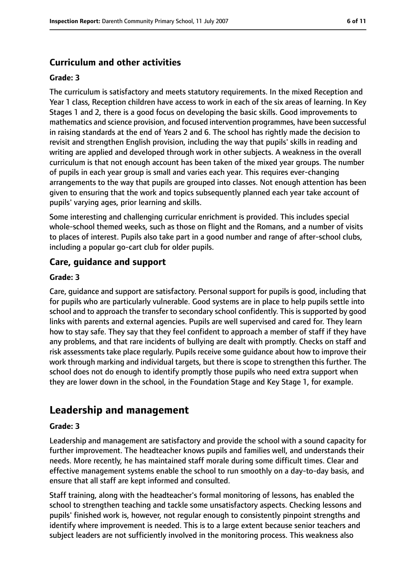## **Curriculum and other activities**

#### **Grade: 3**

The curriculum is satisfactory and meets statutory requirements. In the mixed Reception and Year 1 class, Reception children have access to work in each of the six areas of learning. In Key Stages 1 and 2, there is a good focus on developing the basic skills. Good improvements to mathematics and science provision, and focused intervention programmes, have been successful in raising standards at the end of Years 2 and 6. The school has rightly made the decision to revisit and strengthen English provision, including the way that pupils' skills in reading and writing are applied and developed through work in other subjects. A weakness in the overall curriculum is that not enough account has been taken of the mixed year groups. The number of pupils in each year group is small and varies each year. This requires ever-changing arrangements to the way that pupils are grouped into classes. Not enough attention has been given to ensuring that the work and topics subsequently planned each year take account of pupils' varying ages, prior learning and skills.

Some interesting and challenging curricular enrichment is provided. This includes special whole-school themed weeks, such as those on flight and the Romans, and a number of visits to places of interest. Pupils also take part in a good number and range of after-school clubs, including a popular go-cart club for older pupils.

## **Care, guidance and support**

#### **Grade: 3**

Care, guidance and support are satisfactory. Personal support for pupils is good, including that for pupils who are particularly vulnerable. Good systems are in place to help pupils settle into school and to approach the transfer to secondary school confidently. This is supported by good links with parents and external agencies. Pupils are well supervised and cared for. They learn how to stay safe. They say that they feel confident to approach a member of staff if they have any problems, and that rare incidents of bullying are dealt with promptly. Checks on staff and risk assessments take place regularly. Pupils receive some guidance about how to improve their work through marking and individual targets, but there is scope to strengthen this further. The school does not do enough to identify promptly those pupils who need extra support when they are lower down in the school, in the Foundation Stage and Key Stage 1, for example.

# **Leadership and management**

#### **Grade: 3**

Leadership and management are satisfactory and provide the school with a sound capacity for further improvement. The headteacher knows pupils and families well, and understands their needs. More recently, he has maintained staff morale during some difficult times. Clear and effective management systems enable the school to run smoothly on a day-to-day basis, and ensure that all staff are kept informed and consulted.

Staff training, along with the headteacher's formal monitoring of lessons, has enabled the school to strengthen teaching and tackle some unsatisfactory aspects. Checking lessons and pupils' finished work is, however, not regular enough to consistently pinpoint strengths and identify where improvement is needed. This is to a large extent because senior teachers and subject leaders are not sufficiently involved in the monitoring process. This weakness also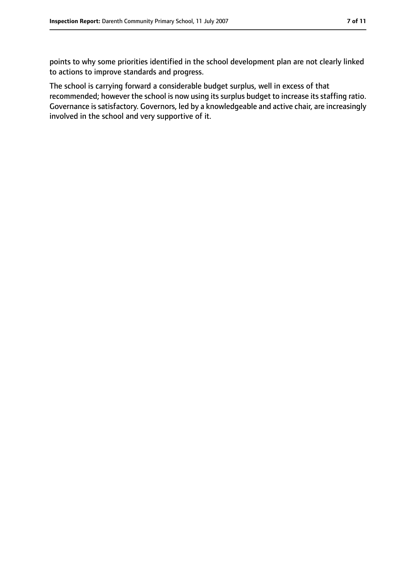points to why some priorities identified in the school development plan are not clearly linked to actions to improve standards and progress.

The school is carrying forward a considerable budget surplus, well in excess of that recommended; however the school is now using its surplus budget to increase its staffing ratio. Governance is satisfactory. Governors, led by a knowledgeable and active chair, are increasingly involved in the school and very supportive of it.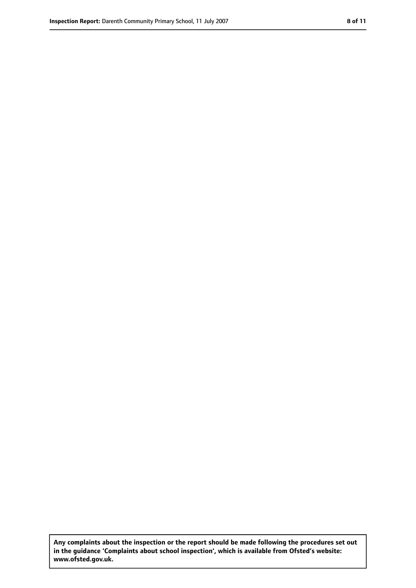**Any complaints about the inspection or the report should be made following the procedures set out in the guidance 'Complaints about school inspection', which is available from Ofsted's website: www.ofsted.gov.uk.**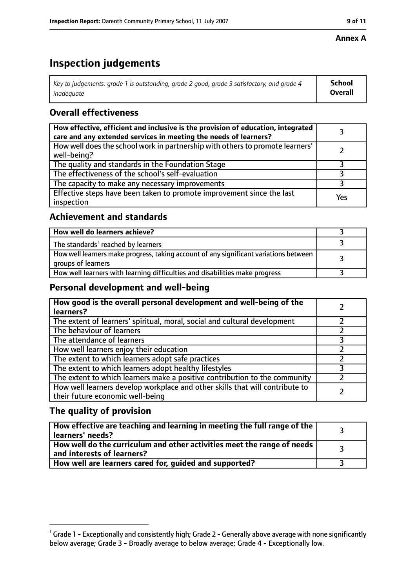#### **Annex A**

# **Inspection judgements**

| Key to judgements: grade 1 is outstanding, grade 2 good, grade 3 satisfactory, and grade 4 $\,$ | <b>School</b>  |
|-------------------------------------------------------------------------------------------------|----------------|
| inadequate                                                                                      | <b>Overall</b> |

## **Overall effectiveness**

| How effective, efficient and inclusive is the provision of education, integrated<br>care and any extended services in meeting the needs of learners? |     |
|------------------------------------------------------------------------------------------------------------------------------------------------------|-----|
| How well does the school work in partnership with others to promote learners'<br>well-being?                                                         |     |
| The quality and standards in the Foundation Stage                                                                                                    |     |
| The effectiveness of the school's self-evaluation                                                                                                    |     |
| The capacity to make any necessary improvements                                                                                                      |     |
| Effective steps have been taken to promote improvement since the last<br>inspection                                                                  | Yes |

## **Achievement and standards**

| How well do learners achieve?                                                                               |  |
|-------------------------------------------------------------------------------------------------------------|--|
| The standards <sup>1</sup> reached by learners                                                              |  |
| How well learners make progress, taking account of any significant variations between<br>groups of learners |  |
| How well learners with learning difficulties and disabilities make progress                                 |  |

## **Personal development and well-being**

| How good is the overall personal development and well-being of the<br>learners?                                  |  |
|------------------------------------------------------------------------------------------------------------------|--|
| The extent of learners' spiritual, moral, social and cultural development                                        |  |
| The behaviour of learners                                                                                        |  |
| The attendance of learners                                                                                       |  |
| How well learners enjoy their education                                                                          |  |
| The extent to which learners adopt safe practices                                                                |  |
| The extent to which learners adopt healthy lifestyles                                                            |  |
| The extent to which learners make a positive contribution to the community                                       |  |
| How well learners develop workplace and other skills that will contribute to<br>their future economic well-being |  |

## **The quality of provision**

| How effective are teaching and learning in meeting the full range of the<br>learners' needs?          |  |
|-------------------------------------------------------------------------------------------------------|--|
| How well do the curriculum and other activities meet the range of needs<br>and interests of learners? |  |
| How well are learners cared for, guided and supported?                                                |  |

 $^1$  Grade 1 - Exceptionally and consistently high; Grade 2 - Generally above average with none significantly below average; Grade 3 - Broadly average to below average; Grade 4 - Exceptionally low.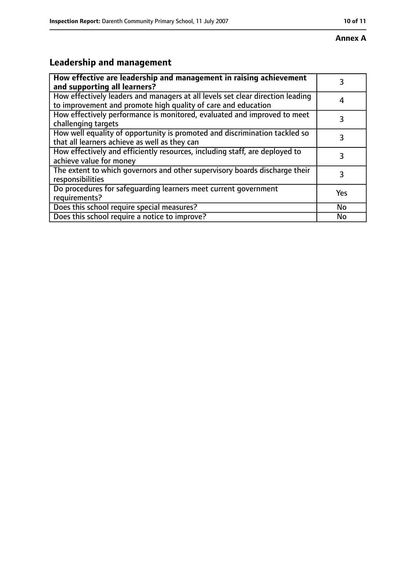#### **Annex A**

# **Leadership and management**

| How effective are leadership and management in raising achievement<br>and supporting all learners?                                              | 3         |
|-------------------------------------------------------------------------------------------------------------------------------------------------|-----------|
| How effectively leaders and managers at all levels set clear direction leading<br>to improvement and promote high quality of care and education | 4         |
| How effectively performance is monitored, evaluated and improved to meet<br>challenging targets                                                 | 3         |
| How well equality of opportunity is promoted and discrimination tackled so<br>that all learners achieve as well as they can                     |           |
| How effectively and efficiently resources, including staff, are deployed to<br>achieve value for money                                          | 3         |
| The extent to which governors and other supervisory boards discharge their<br>responsibilities                                                  | 3         |
| Do procedures for safequarding learners meet current government<br>requirements?                                                                | Yes       |
| Does this school require special measures?                                                                                                      | <b>No</b> |
| Does this school require a notice to improve?                                                                                                   | No        |